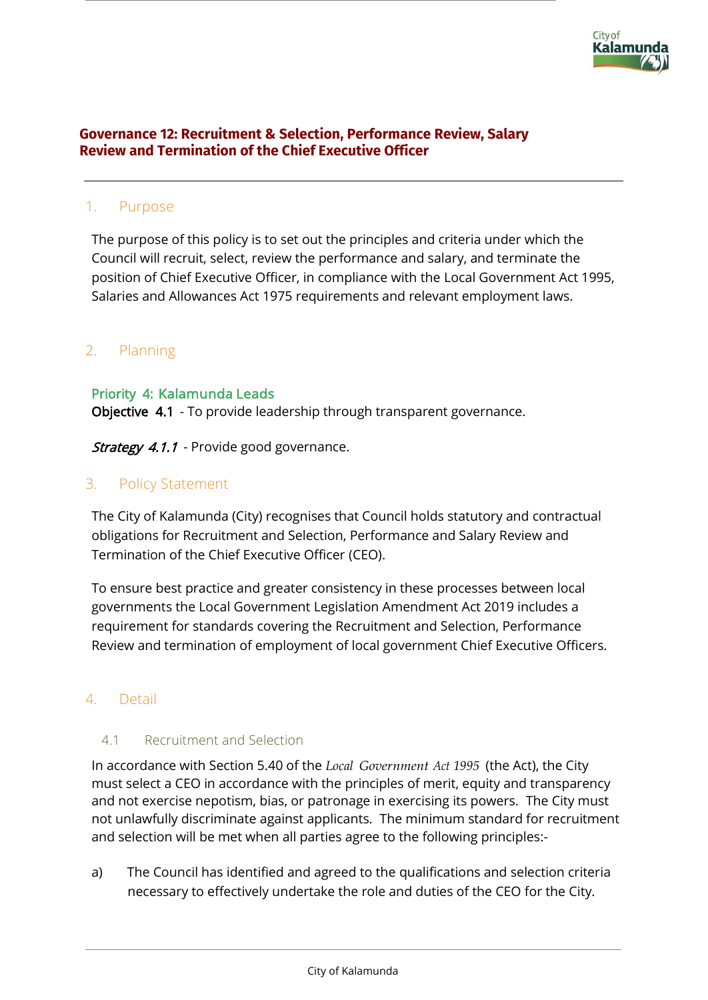

## **Governance 12: Recruitment & Selection, Performance Review, Salary Review and Termination of the Chief Executive Officer**

# 1. Purpose

The purpose of this policy is to set out the principles and criteria under which the Council will recruit, select, review the performance and salary, and terminate the position of Chief Executive Officer, in compliance with the Local Government Act 1995, Salaries and Allowances Act 1975 requirements and relevant employment laws.

# 2. Planning

#### Priority 4: Kalamunda Leads

Objective 4.1 - To provide leadership through transparent governance.

Strategy 4.1.1 - Provide good governance.

## 3. Policy Statement

The City of Kalamunda (City) recognises that Council holds statutory and contractual obligations for Recruitment and Selection, Performance and Salary Review and Termination of the Chief Executive Officer (CEO).

To ensure best practice and greater consistency in these processes between local governments the Local Government Legislation Amendment Act 2019 includes a requirement for standards covering the Recruitment and Selection, Performance Review and termination of employment of local government Chief Executive Officers.

## 4. Detail

#### 4.1 Recruitment and Selection

In accordance with Section 5.40 of the *Local Government Act 1995* (the Act), the City must select a CEO in accordance with the principles of merit, equity and transparency and not exercise nepotism, bias, or patronage in exercising its powers. The City must not unlawfully discriminate against applicants. The minimum standard for recruitment and selection will be met when all parties agree to the following principles:-

a) The Council has identified and agreed to the qualifications and selection criteria necessary to effectively undertake the role and duties of the CEO for the City.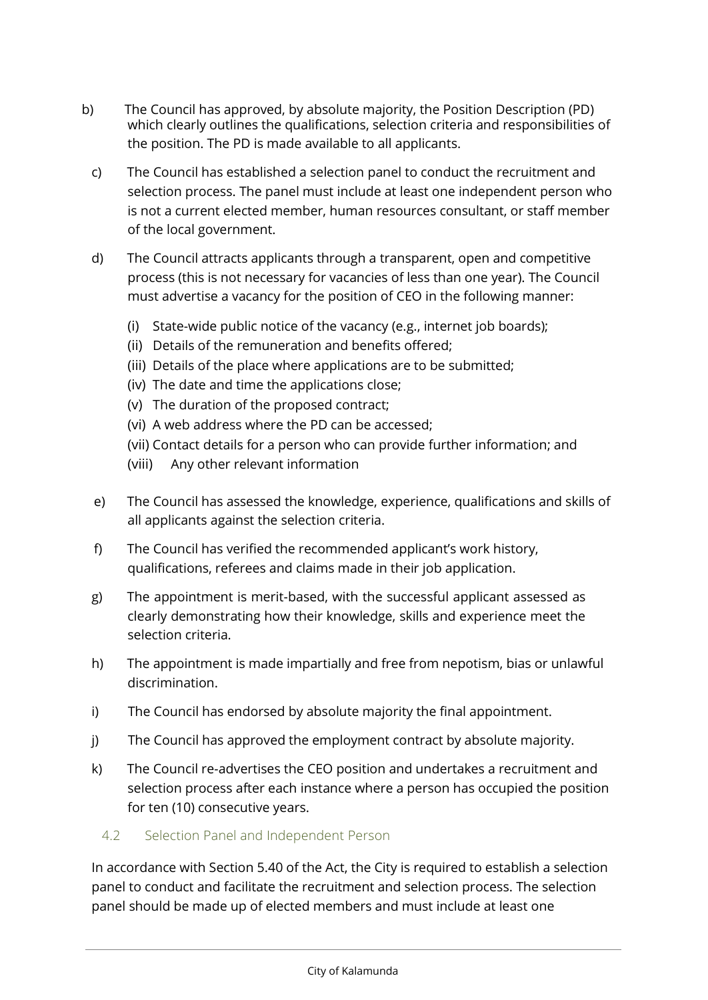- b) The Council has approved, by absolute majority, the Position Description (PD) which clearly outlines the qualifications, selection criteria and responsibilities of the position. The PD is made available to all applicants.
	- c) The Council has established a selection panel to conduct the recruitment and selection process. The panel must include at least one independent person who is not a current elected member, human resources consultant, or staff member of the local government.
	- d) The Council attracts applicants through a transparent, open and competitive process (this is not necessary for vacancies of less than one year). The Council must advertise a vacancy for the position of CEO in the following manner:
		- (i) State-wide public notice of the vacancy (e.g., internet job boards);
		- (ii) Details of the remuneration and benefits offered;
		- (iii) Details of the place where applications are to be submitted;
		- (iv) The date and time the applications close;
		- (v) The duration of the proposed contract;
		- (vi) A web address where the PD can be accessed;
		- (vii) Contact details for a person who can provide further information; and
		- (viii) Any other relevant information
	- e) The Council has assessed the knowledge, experience, qualifications and skills of all applicants against the selection criteria.
	- f) The Council has verified the recommended applicant's work history, qualifications, referees and claims made in their job application.
	- g) The appointment is merit-based, with the successful applicant assessed as clearly demonstrating how their knowledge, skills and experience meet the selection criteria.
	- h) The appointment is made impartially and free from nepotism, bias or unlawful discrimination.
	- i) The Council has endorsed by absolute majority the final appointment.
	- j) The Council has approved the employment contract by absolute majority.
	- k) The Council re-advertises the CEO position and undertakes a recruitment and selection process after each instance where a person has occupied the position for ten (10) consecutive years.
		- 4.2 Selection Panel and Independent Person

In accordance with Section 5.40 of the Act, the City is required to establish a selection panel to conduct and facilitate the recruitment and selection process. The selection panel should be made up of elected members and must include at least one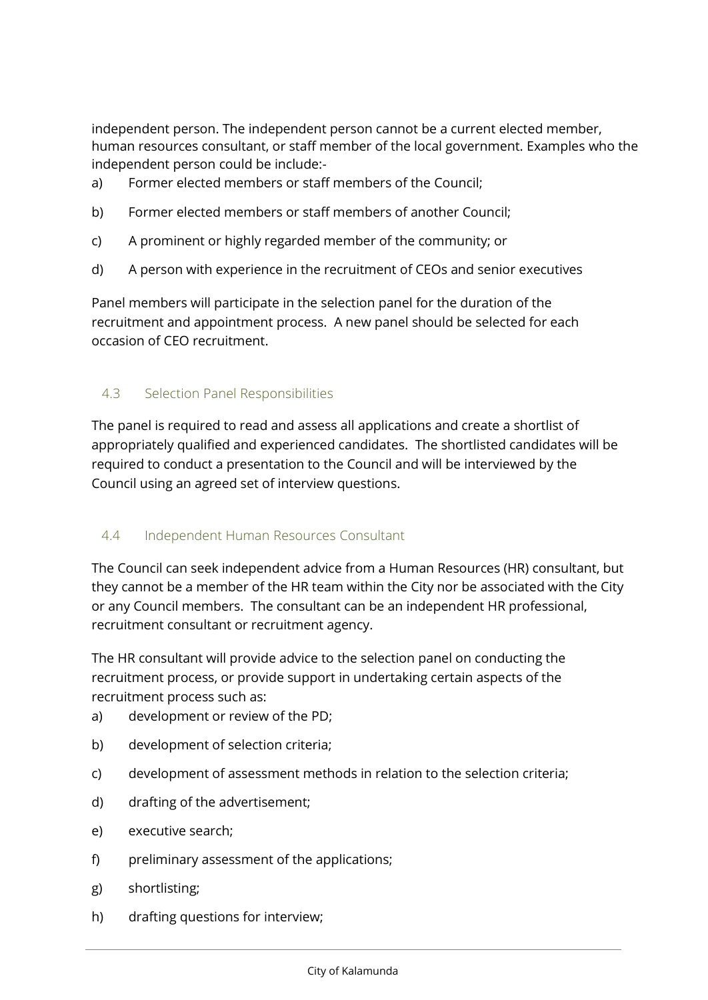independent person. The independent person cannot be a current elected member, human resources consultant, or staff member of the local government. Examples who the independent person could be include:-

- a) Former elected members or staff members of the Council;
- b) Former elected members or staff members of another Council;
- c) A prominent or highly regarded member of the community; or
- d) A person with experience in the recruitment of CEOs and senior executives

Panel members will participate in the selection panel for the duration of the recruitment and appointment process. A new panel should be selected for each occasion of CEO recruitment.

## 4.3 Selection Panel Responsibilities

The panel is required to read and assess all applications and create a shortlist of appropriately qualified and experienced candidates. The shortlisted candidates will be required to conduct a presentation to the Council and will be interviewed by the Council using an agreed set of interview questions.

## 4.4 Independent Human Resources Consultant

The Council can seek independent advice from a Human Resources (HR) consultant, but they cannot be a member of the HR team within the City nor be associated with the City or any Council members. The consultant can be an independent HR professional, recruitment consultant or recruitment agency.

The HR consultant will provide advice to the selection panel on conducting the recruitment process, or provide support in undertaking certain aspects of the recruitment process such as:

- a) development or review of the PD;
- b) development of selection criteria;
- c) development of assessment methods in relation to the selection criteria;
- d) drafting of the advertisement;
- e) executive search;
- f) preliminary assessment of the applications;
- g) shortlisting;
- h) drafting questions for interview;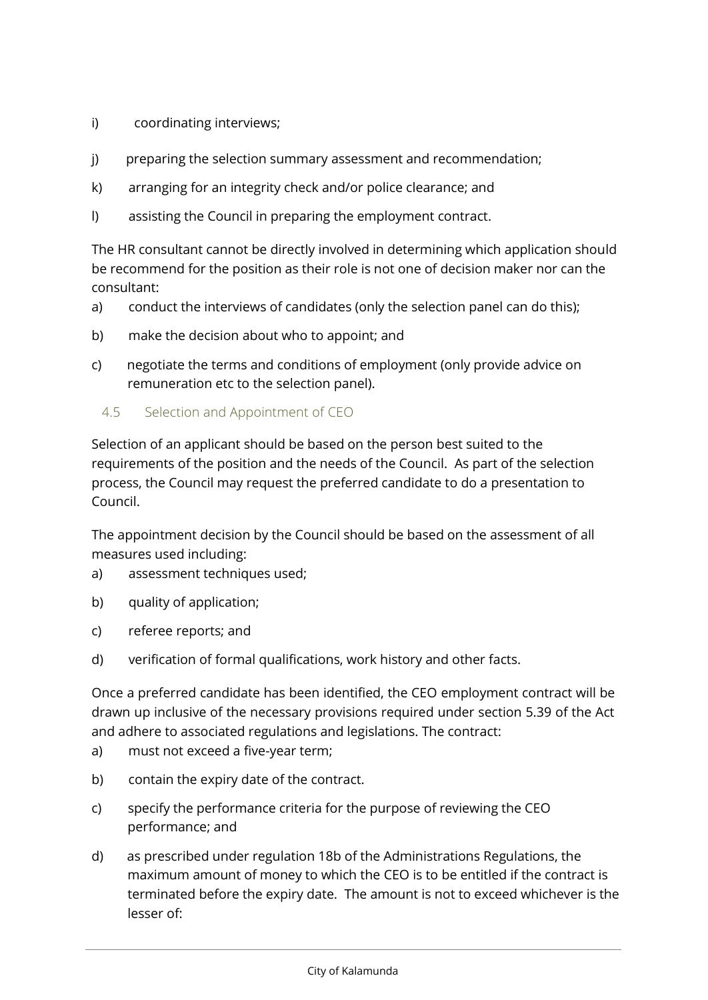- i) coordinating interviews;
- j) preparing the selection summary assessment and recommendation;
- k) arranging for an integrity check and/or police clearance; and
- l) assisting the Council in preparing the employment contract.

The HR consultant cannot be directly involved in determining which application should be recommend for the position as their role is not one of decision maker nor can the consultant:

- a) conduct the interviews of candidates (only the selection panel can do this);
- b) make the decision about who to appoint; and
- c) negotiate the terms and conditions of employment (only provide advice on remuneration etc to the selection panel).
	- 4.5 Selection and Appointment of CEO

Selection of an applicant should be based on the person best suited to the requirements of the position and the needs of the Council. As part of the selection process, the Council may request the preferred candidate to do a presentation to Council.

The appointment decision by the Council should be based on the assessment of all measures used including:

- a) assessment techniques used;
- b) quality of application;
- c) referee reports; and
- d) verification of formal qualifications, work history and other facts.

Once a preferred candidate has been identified, the CEO employment contract will be drawn up inclusive of the necessary provisions required under section 5.39 of the Act and adhere to associated regulations and legislations. The contract:

- a) must not exceed a five-year term;
- b) contain the expiry date of the contract.
- c) specify the performance criteria for the purpose of reviewing the CEO performance; and
- d) as prescribed under regulation 18b of the Administrations Regulations, the maximum amount of money to which the CEO is to be entitled if the contract is terminated before the expiry date. The amount is not to exceed whichever is the lesser of: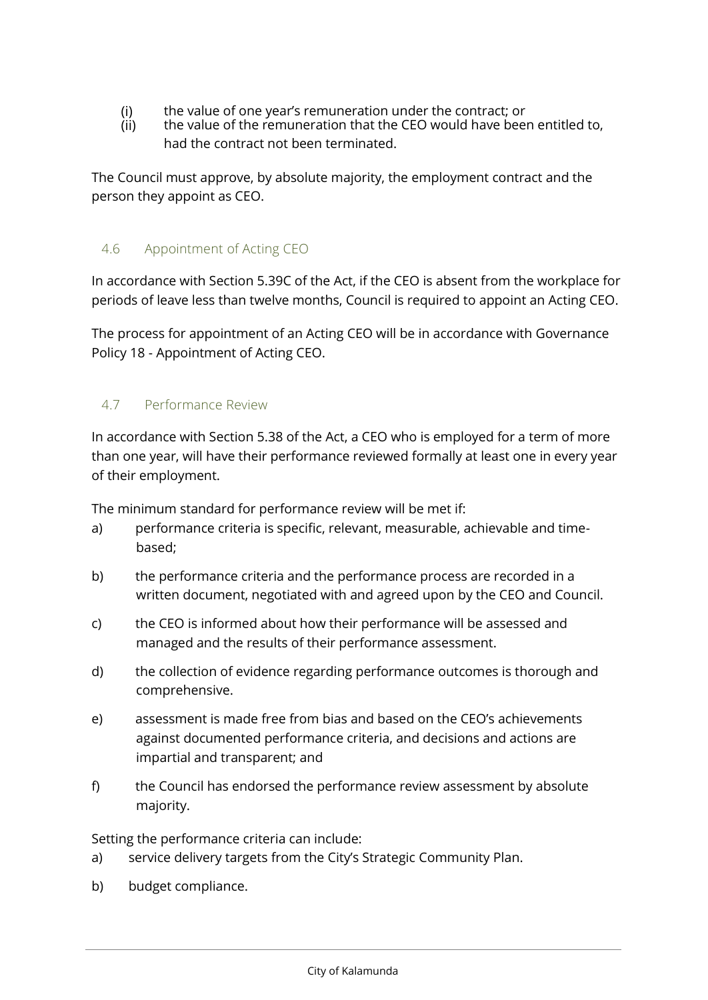- (i) the value of one year's remuneration under the contract; or<br>(ii) the value of the remuneration that the CEO would have been
- the value of the remuneration that the CEO would have been entitled to, had the contract not been terminated.

The Council must approve, by absolute majority, the employment contract and the person they appoint as CEO.

# 4.6 Appointment of Acting CEO

In accordance with Section 5.39C of the Act, if the CEO is absent from the workplace for periods of leave less than twelve months, Council is required to appoint an Acting CEO.

The process for appointment of an Acting CEO will be in accordance with Governance Policy 18 - Appointment of Acting CEO.

# 4.7 Performance Review

In accordance with Section 5.38 of the Act, a CEO who is employed for a term of more than one year, will have their performance reviewed formally at least one in every year of their employment.

The minimum standard for performance review will be met if:

- a) performance criteria is specific, relevant, measurable, achievable and timebased;
- b) the performance criteria and the performance process are recorded in a written document, negotiated with and agreed upon by the CEO and Council.
- c) the CEO is informed about how their performance will be assessed and managed and the results of their performance assessment.
- d) the collection of evidence regarding performance outcomes is thorough and comprehensive.
- e) assessment is made free from bias and based on the CEO's achievements against documented performance criteria, and decisions and actions are impartial and transparent; and
- f) the Council has endorsed the performance review assessment by absolute majority.

Setting the performance criteria can include:

- a) service delivery targets from the City's Strategic Community Plan.
- b) budget compliance.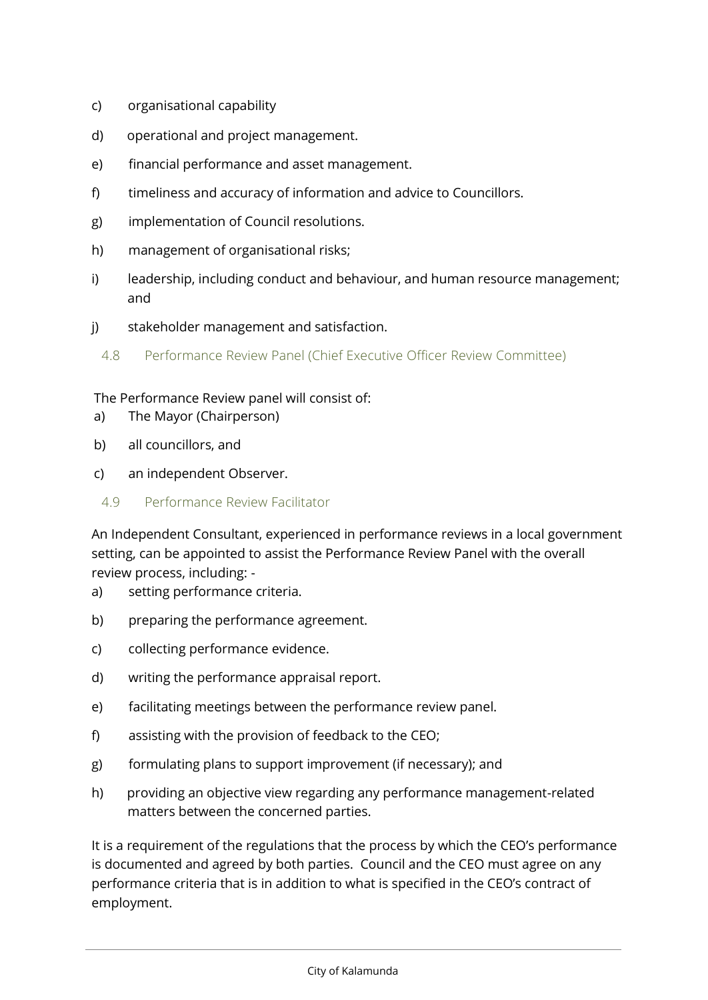- c) organisational capability
- d) operational and project management.
- e) financial performance and asset management.
- f) timeliness and accuracy of information and advice to Councillors.
- g) implementation of Council resolutions.
- h) management of organisational risks;
- i) leadership, including conduct and behaviour, and human resource management; and
- j) stakeholder management and satisfaction.
	- 4.8 Performance Review Panel (Chief Executive Officer Review Committee)

#### The Performance Review panel will consist of:

- a) The Mayor (Chairperson)
- b) all councillors, and
- c) an independent Observer.
- 4.9 Performance Review Facilitator

An Independent Consultant, experienced in performance reviews in a local government setting, can be appointed to assist the Performance Review Panel with the overall review process, including: -

- a) setting performance criteria.
- b) preparing the performance agreement.
- c) collecting performance evidence.
- d) writing the performance appraisal report.
- e) facilitating meetings between the performance review panel.
- f) assisting with the provision of feedback to the CEO;
- g) formulating plans to support improvement (if necessary); and
- h) providing an objective view regarding any performance management-related matters between the concerned parties.

It is a requirement of the regulations that the process by which the CEO's performance is documented and agreed by both parties. Council and the CEO must agree on any performance criteria that is in addition to what is specified in the CEO's contract of employment.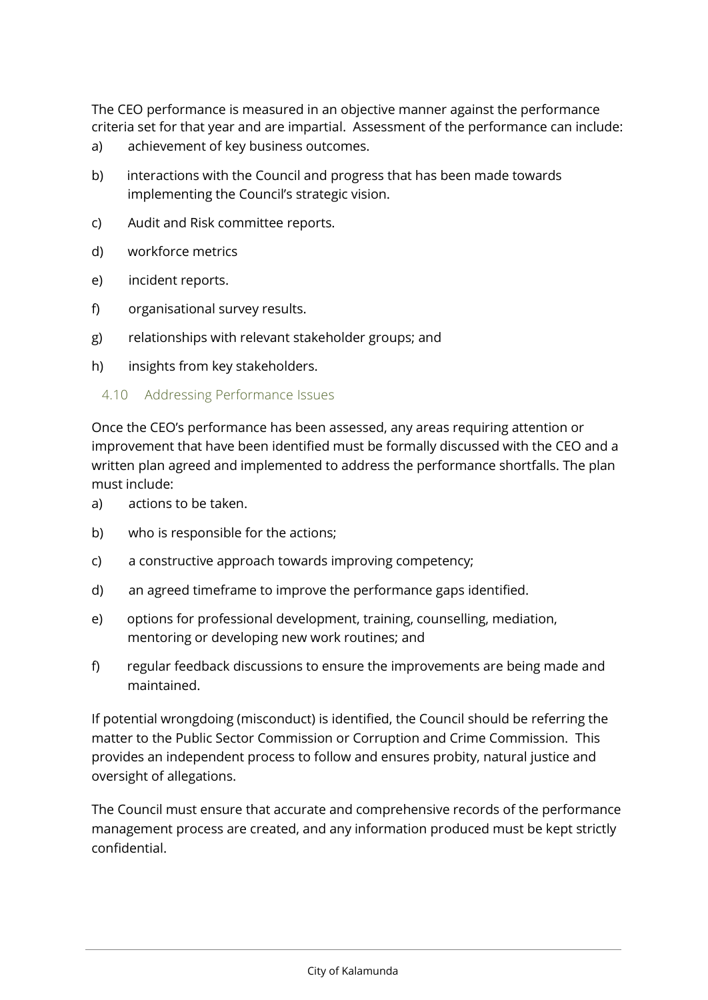The CEO performance is measured in an objective manner against the performance criteria set for that year and are impartial. Assessment of the performance can include:

- a) achievement of key business outcomes.
- b) interactions with the Council and progress that has been made towards implementing the Council's strategic vision.
- c) Audit and Risk committee reports.
- d) workforce metrics
- e) incident reports.
- f) organisational survey results.
- g) relationships with relevant stakeholder groups; and
- h) insights from key stakeholders.
	- 4.10 Addressing Performance Issues

Once the CEO's performance has been assessed, any areas requiring attention or improvement that have been identified must be formally discussed with the CEO and a written plan agreed and implemented to address the performance shortfalls. The plan must include:

- a) actions to be taken.
- b) who is responsible for the actions;
- c) a constructive approach towards improving competency;
- d) an agreed timeframe to improve the performance gaps identified.
- e) options for professional development, training, counselling, mediation, mentoring or developing new work routines; and
- f) regular feedback discussions to ensure the improvements are being made and maintained.

If potential wrongdoing (misconduct) is identified, the Council should be referring the matter to the Public Sector Commission or Corruption and Crime Commission. This provides an independent process to follow and ensures probity, natural justice and oversight of allegations.

The Council must ensure that accurate and comprehensive records of the performance management process are created, and any information produced must be kept strictly confidential.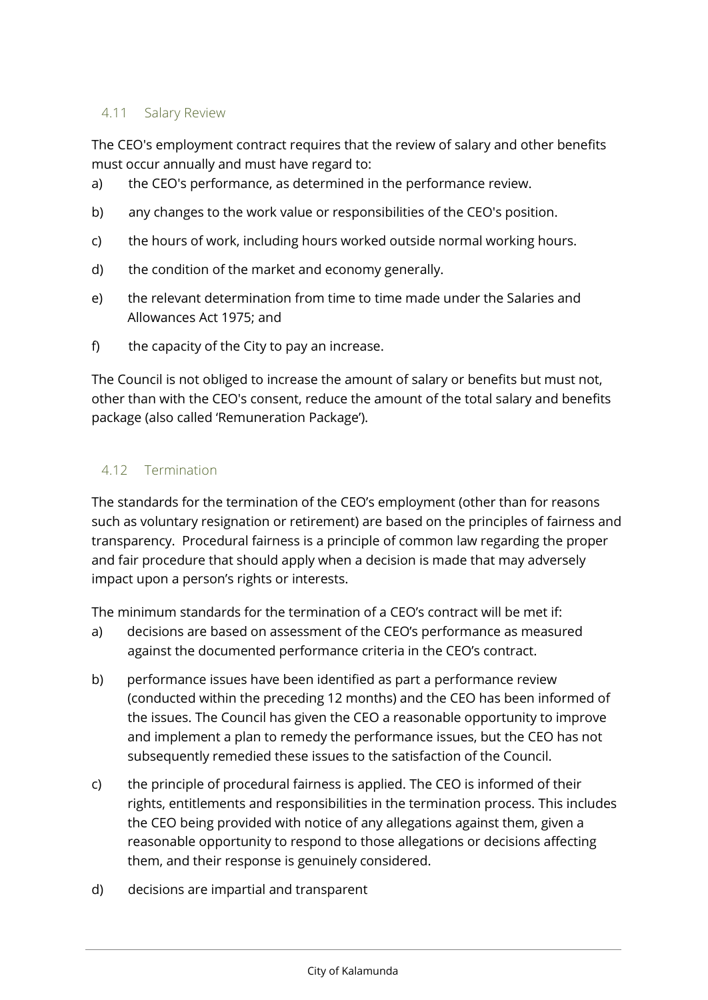## 4.11 Salary Review

The CEO's employment contract requires that the review of salary and other benefits must occur annually and must have regard to:

- a) the CEO's performance, as determined in the performance review.
- b) any changes to the work value or responsibilities of the CEO's position.
- c) the hours of work, including hours worked outside normal working hours.
- d) the condition of the market and economy generally.
- e) the relevant determination from time to time made under the Salaries and Allowances Act 1975; and
- f) the capacity of the City to pay an increase.

The Council is not obliged to increase the amount of salary or benefits but must not, other than with the CEO's consent, reduce the amount of the total salary and benefits package (also called 'Remuneration Package').

## 4.12 Termination

The standards for the termination of the CEO's employment (other than for reasons such as voluntary resignation or retirement) are based on the principles of fairness and transparency. Procedural fairness is a principle of common law regarding the proper and fair procedure that should apply when a decision is made that may adversely impact upon a person's rights or interests.

The minimum standards for the termination of a CEO's contract will be met if:

- a) decisions are based on assessment of the CEO's performance as measured against the documented performance criteria in the CEO's contract.
- b) performance issues have been identified as part a performance review (conducted within the preceding 12 months) and the CEO has been informed of the issues. The Council has given the CEO a reasonable opportunity to improve and implement a plan to remedy the performance issues, but the CEO has not subsequently remedied these issues to the satisfaction of the Council.
- c) the principle of procedural fairness is applied. The CEO is informed of their rights, entitlements and responsibilities in the termination process. This includes the CEO being provided with notice of any allegations against them, given a reasonable opportunity to respond to those allegations or decisions affecting them, and their response is genuinely considered.
- d) decisions are impartial and transparent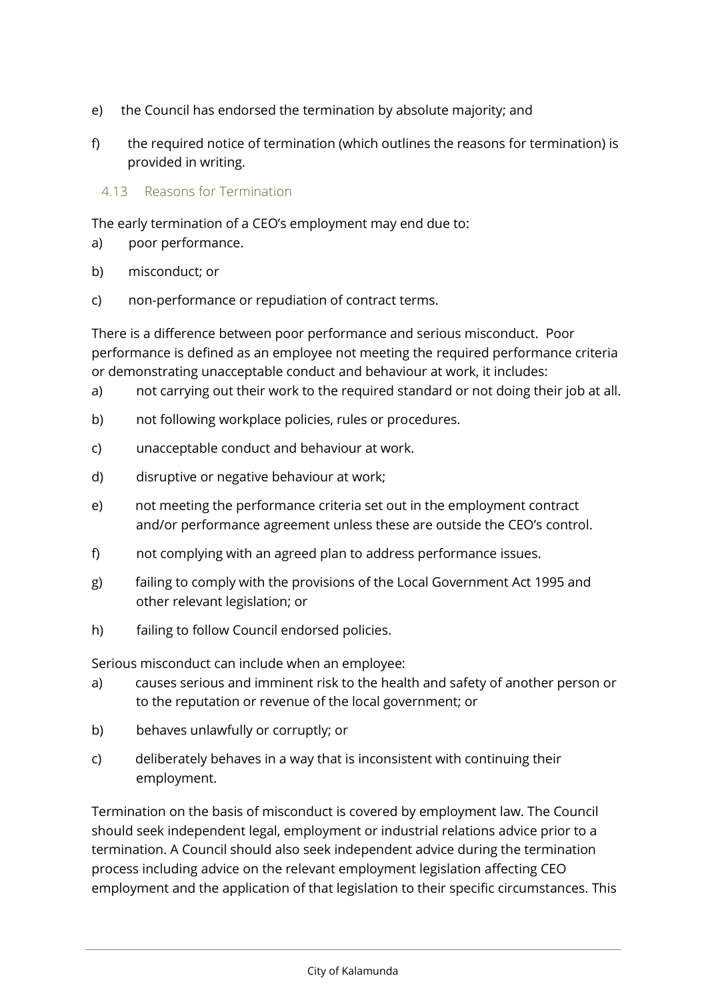- e) the Council has endorsed the termination by absolute majority; and
- f) the required notice of termination (which outlines the reasons for termination) is provided in writing.

## 4.13 Reasons for Termination

The early termination of a CEO's employment may end due to:

- a) poor performance.
- b) misconduct; or
- c) non-performance or repudiation of contract terms.

There is a difference between poor performance and serious misconduct. Poor performance is defined as an employee not meeting the required performance criteria or demonstrating unacceptable conduct and behaviour at work, it includes:

- a) not carrying out their work to the required standard or not doing their job at all.
- b) not following workplace policies, rules or procedures.
- c) unacceptable conduct and behaviour at work.
- d) disruptive or negative behaviour at work;
- e) not meeting the performance criteria set out in the employment contract and/or performance agreement unless these are outside the CEO's control.
- f) not complying with an agreed plan to address performance issues.
- g) failing to comply with the provisions of the Local Government Act 1995 and other relevant legislation; or
- h) failing to follow Council endorsed policies.

Serious misconduct can include when an employee:

- a) causes serious and imminent risk to the health and safety of another person or to the reputation or revenue of the local government; or
- b) behaves unlawfully or corruptly; or
- c) deliberately behaves in a way that is inconsistent with continuing their employment.

Termination on the basis of misconduct is covered by employment law. The Council should seek independent legal, employment or industrial relations advice prior to a termination. A Council should also seek independent advice during the termination process including advice on the relevant employment legislation affecting CEO employment and the application of that legislation to their specific circumstances. This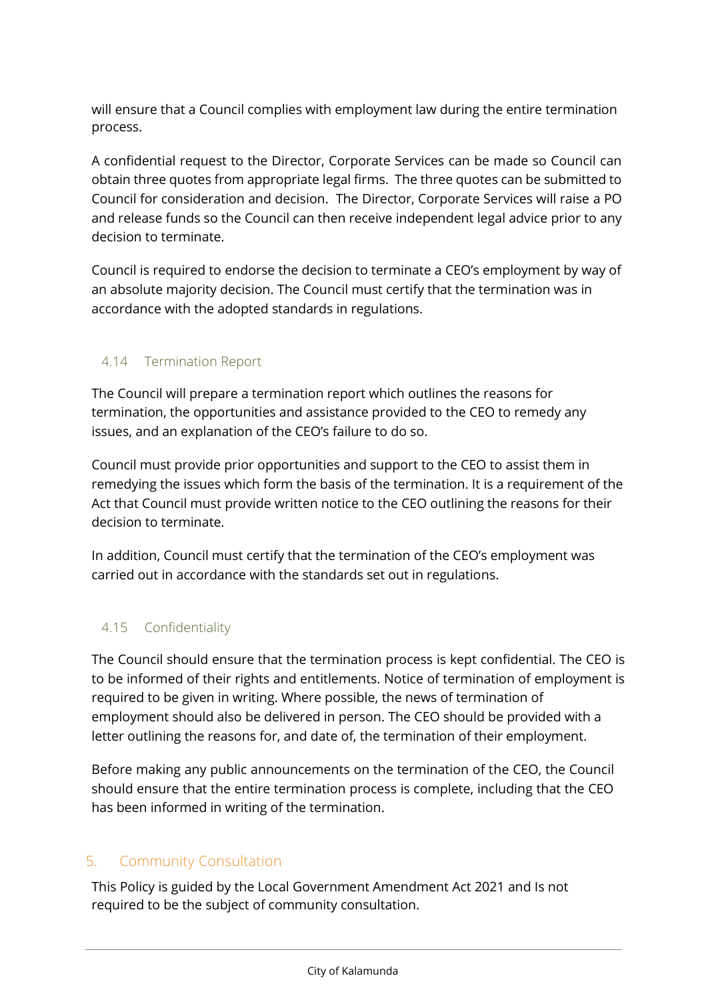will ensure that a Council complies with employment law during the entire termination process.

A confidential request to the Director, Corporate Services can be made so Council can obtain three quotes from appropriate legal firms. The three quotes can be submitted to Council for consideration and decision. The Director, Corporate Services will raise a PO and release funds so the Council can then receive independent legal advice prior to any decision to terminate.

Council is required to endorse the decision to terminate a CEO's employment by way of an absolute majority decision. The Council must certify that the termination was in accordance with the adopted standards in regulations.

# 4.14 Termination Report

The Council will prepare a termination report which outlines the reasons for termination, the opportunities and assistance provided to the CEO to remedy any issues, and an explanation of the CEO's failure to do so.

Council must provide prior opportunities and support to the CEO to assist them in remedying the issues which form the basis of the termination. It is a requirement of the Act that Council must provide written notice to the CEO outlining the reasons for their decision to terminate.

In addition, Council must certify that the termination of the CEO's employment was carried out in accordance with the standards set out in regulations.

# 4.15 Confidentiality

The Council should ensure that the termination process is kept confidential. The CEO is to be informed of their rights and entitlements. Notice of termination of employment is required to be given in writing. Where possible, the news of termination of employment should also be delivered in person. The CEO should be provided with a letter outlining the reasons for, and date of, the termination of their employment.

Before making any public announcements on the termination of the CEO, the Council should ensure that the entire termination process is complete, including that the CEO has been informed in writing of the termination.

# 5. Community Consultation

This Policy is guided by the Local Government Amendment Act 2021 and Is not required to be the subject of community consultation.